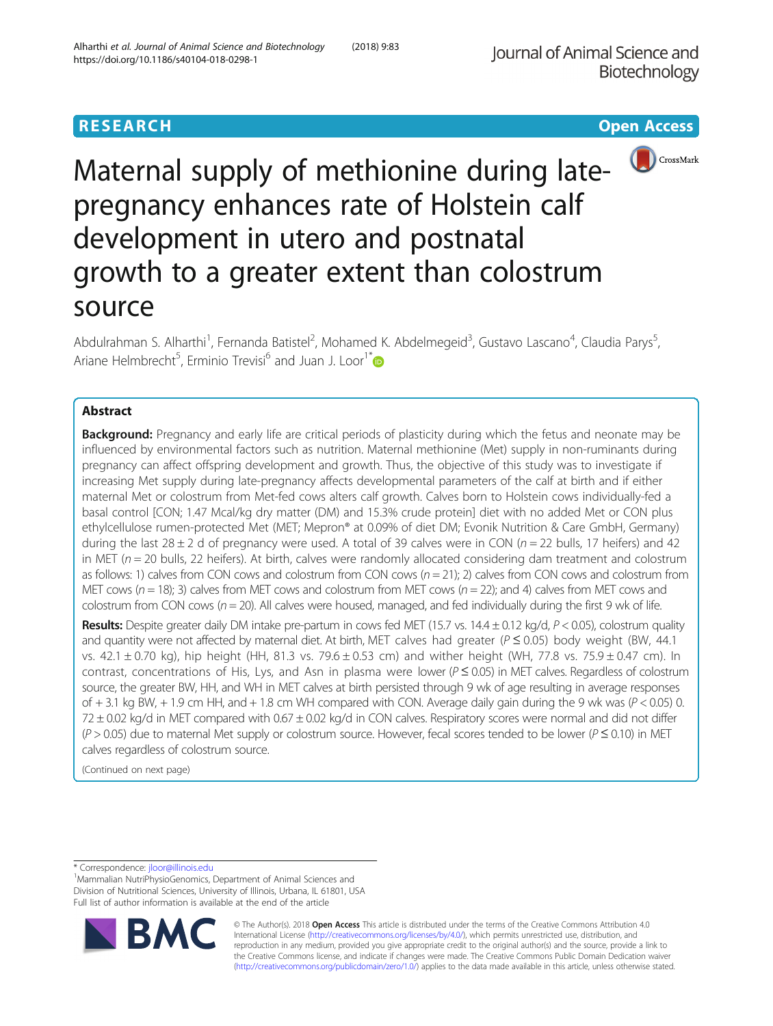



# Maternal supply of methionine during latepregnancy enhances rate of Holstein calf development in utero and postnatal growth to a greater extent than colostrum source

Abdulrahman S. Alharthi<sup>1</sup>, Fernanda Batistel<sup>2</sup>, Mohamed K. Abdelmegeid<sup>3</sup>, Gustavo Lascano<sup>4</sup>, Claudia Parys<sup>5</sup> , Ariane Helmbrecht<sup>5</sup>, Erminio Trevisi<sup>6</sup> and Juan J. Loor<sup>1[\\*](http://orcid.org/0000-0003-1586-4365)</sup>

### Abstract

**Background:** Pregnancy and early life are critical periods of plasticity during which the fetus and neonate may be influenced by environmental factors such as nutrition. Maternal methionine (Met) supply in non-ruminants during pregnancy can affect offspring development and growth. Thus, the objective of this study was to investigate if increasing Met supply during late-pregnancy affects developmental parameters of the calf at birth and if either maternal Met or colostrum from Met-fed cows alters calf growth. Calves born to Holstein cows individually-fed a basal control [CON; 1.47 Mcal/kg dry matter (DM) and 15.3% crude protein] diet with no added Met or CON plus ethylcellulose rumen-protected Met (MET; Mepron® at 0.09% of diet DM; Evonik Nutrition & Care GmbH, Germany) during the last  $28 \pm 2$  d of pregnancy were used. A total of 39 calves were in CON ( $n = 22$  bulls, 17 heifers) and 42 in MET ( $n = 20$  bulls, 22 heifers). At birth, calves were randomly allocated considering dam treatment and colostrum as follows: 1) calves from CON cows and colostrum from CON cows  $(n = 21)$ ; 2) calves from CON cows and colostrum from MET cows ( $n = 18$ ); 3) calves from MET cows and colostrum from MET cows ( $n = 22$ ); and 4) calves from MET cows and colostrum from CON cows ( $n = 20$ ). All calves were housed, managed, and fed individually during the first 9 wk of life.

Results: Despite greater daily DM intake pre-partum in cows fed MET (15.7 vs. 14.4  $\pm$  0.12 kg/d,  $P < 0.05$ ), colostrum quality and quantity were not affected by maternal diet. At birth, MET calves had greater ( $P \le 0.05$ ) body weight (BW, 44.1 vs.  $42.1 \pm 0.70$  kg), hip height (HH, 81.3 vs. 79.6  $\pm$  0.53 cm) and wither height (WH, 77.8 vs. 75.9  $\pm$  0.47 cm). In contrast, concentrations of His, Lys, and Asn in plasma were lower ( $P \le 0.05$ ) in MET calves. Regardless of colostrum source, the greater BW, HH, and WH in MET calves at birth persisted through 9 wk of age resulting in average responses of  $+3.1$  kg BW,  $+1.9$  cm HH, and  $+1.8$  cm WH compared with CON. Average daily gain during the 9 wk was ( $P < 0.05$ ) 0.  $72 \pm 0.02$  kg/d in MET compared with  $0.67 \pm 0.02$  kg/d in CON calves. Respiratory scores were normal and did not differ  $(P > 0.05)$  due to maternal Met supply or colostrum source. However, fecal scores tended to be lower ( $P \le 0.10$ ) in MET calves regardless of colostrum source.

(Continued on next page)

\* Correspondence: [jloor@illinois.edu](mailto:jloor@illinois.edu) <sup>1</sup>

<sup>1</sup>Mammalian NutriPhysioGenomics, Department of Animal Sciences and Division of Nutritional Sciences, University of Illinois, Urbana, IL 61801, USA Full list of author information is available at the end of the article



© The Author(s). 2018 Open Access This article is distributed under the terms of the Creative Commons Attribution 4.0 International License [\(http://creativecommons.org/licenses/by/4.0/](http://creativecommons.org/licenses/by/4.0/)), which permits unrestricted use, distribution, and reproduction in any medium, provided you give appropriate credit to the original author(s) and the source, provide a link to the Creative Commons license, and indicate if changes were made. The Creative Commons Public Domain Dedication waiver [\(http://creativecommons.org/publicdomain/zero/1.0/](http://creativecommons.org/publicdomain/zero/1.0/)) applies to the data made available in this article, unless otherwise stated.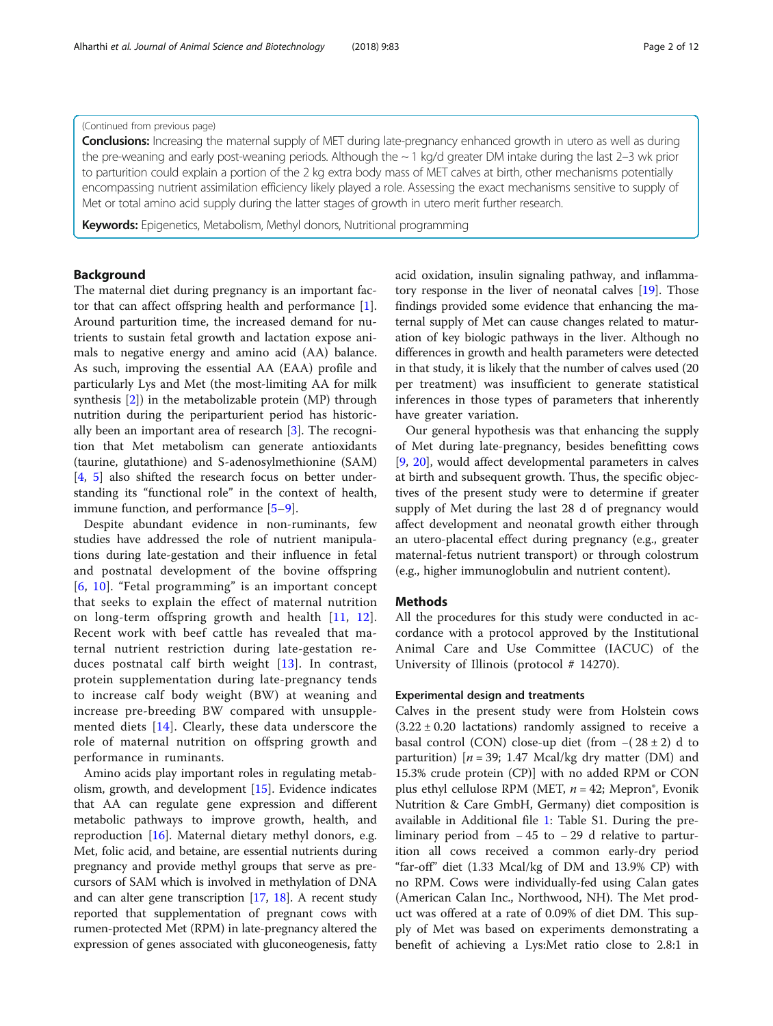#### (Continued from previous page)

**Conclusions:** Increasing the maternal supply of MET during late-pregnancy enhanced growth in utero as well as during the pre-weaning and early post-weaning periods. Although the ~ 1 kg/d greater DM intake during the last 2–3 wk prior to parturition could explain a portion of the 2 kg extra body mass of MET calves at birth, other mechanisms potentially encompassing nutrient assimilation efficiency likely played a role. Assessing the exact mechanisms sensitive to supply of Met or total amino acid supply during the latter stages of growth in utero merit further research.

Keywords: Epigenetics, Metabolism, Methyl donors, Nutritional programming

#### Background

The maternal diet during pregnancy is an important factor that can affect offspring health and performance [\[1](#page-9-0)]. Around parturition time, the increased demand for nutrients to sustain fetal growth and lactation expose animals to negative energy and amino acid (AA) balance. As such, improving the essential AA (EAA) profile and particularly Lys and Met (the most-limiting AA for milk synthesis [[2\]](#page-10-0)) in the metabolizable protein (MP) through nutrition during the periparturient period has historically been an important area of research [\[3\]](#page-10-0). The recognition that Met metabolism can generate antioxidants (taurine, glutathione) and S-adenosylmethionine (SAM) [[4,](#page-10-0) [5\]](#page-10-0) also shifted the research focus on better understanding its "functional role" in the context of health, immune function, and performance [[5](#page-10-0)–[9\]](#page-10-0).

Despite abundant evidence in non-ruminants, few studies have addressed the role of nutrient manipulations during late-gestation and their influence in fetal and postnatal development of the bovine offspring [[6](#page-10-0), [10\]](#page-10-0). "Fetal programming" is an important concept that seeks to explain the effect of maternal nutrition on long-term offspring growth and health [[11,](#page-10-0) [12](#page-10-0)]. Recent work with beef cattle has revealed that maternal nutrient restriction during late-gestation reduces postnatal calf birth weight [[13\]](#page-10-0). In contrast, protein supplementation during late-pregnancy tends to increase calf body weight (BW) at weaning and increase pre-breeding BW compared with unsupplemented diets [[14\]](#page-10-0). Clearly, these data underscore the role of maternal nutrition on offspring growth and performance in ruminants.

Amino acids play important roles in regulating metabolism, growth, and development [\[15](#page-10-0)]. Evidence indicates that AA can regulate gene expression and different metabolic pathways to improve growth, health, and reproduction [\[16](#page-10-0)]. Maternal dietary methyl donors, e.g. Met, folic acid, and betaine, are essential nutrients during pregnancy and provide methyl groups that serve as precursors of SAM which is involved in methylation of DNA and can alter gene transcription [\[17,](#page-10-0) [18](#page-10-0)]. A recent study reported that supplementation of pregnant cows with rumen-protected Met (RPM) in late-pregnancy altered the expression of genes associated with gluconeogenesis, fatty acid oxidation, insulin signaling pathway, and inflammatory response in the liver of neonatal calves [\[19\]](#page-10-0). Those findings provided some evidence that enhancing the maternal supply of Met can cause changes related to maturation of key biologic pathways in the liver. Although no differences in growth and health parameters were detected in that study, it is likely that the number of calves used (20 per treatment) was insufficient to generate statistical inferences in those types of parameters that inherently have greater variation.

Our general hypothesis was that enhancing the supply of Met during late-pregnancy, besides benefitting cows [[9,](#page-10-0) [20](#page-10-0)], would affect developmental parameters in calves at birth and subsequent growth. Thus, the specific objectives of the present study were to determine if greater supply of Met during the last 28 d of pregnancy would affect development and neonatal growth either through an utero-placental effect during pregnancy (e.g., greater maternal-fetus nutrient transport) or through colostrum (e.g., higher immunoglobulin and nutrient content).

#### Methods

All the procedures for this study were conducted in accordance with a protocol approved by the Institutional Animal Care and Use Committee (IACUC) of the University of Illinois (protocol # 14270).

#### Experimental design and treatments

Calves in the present study were from Holstein cows  $(3.22 \pm 0.20$  lactations) randomly assigned to receive a basal control (CON) close-up diet (from  $-(28 \pm 2)$  d to parturition)  $[n = 39; 1.47 \text{ Meal/kg} \text{ dry matter (DM) and}$ 15.3% crude protein (CP)] with no added RPM or CON plus ethyl cellulose RPM (MET,  $n = 42$ ; Mepron<sup>®</sup>, Evonik Nutrition & Care GmbH, Germany) diet composition is available in Additional file [1:](#page-9-0) Table S1. During the preliminary period from − 45 to − 29 d relative to parturition all cows received a common early-dry period "far-off" diet (1.33 Mcal/kg of DM and 13.9% CP) with no RPM. Cows were individually-fed using Calan gates (American Calan Inc., Northwood, NH). The Met product was offered at a rate of 0.09% of diet DM. This supply of Met was based on experiments demonstrating a benefit of achieving a Lys:Met ratio close to 2.8:1 in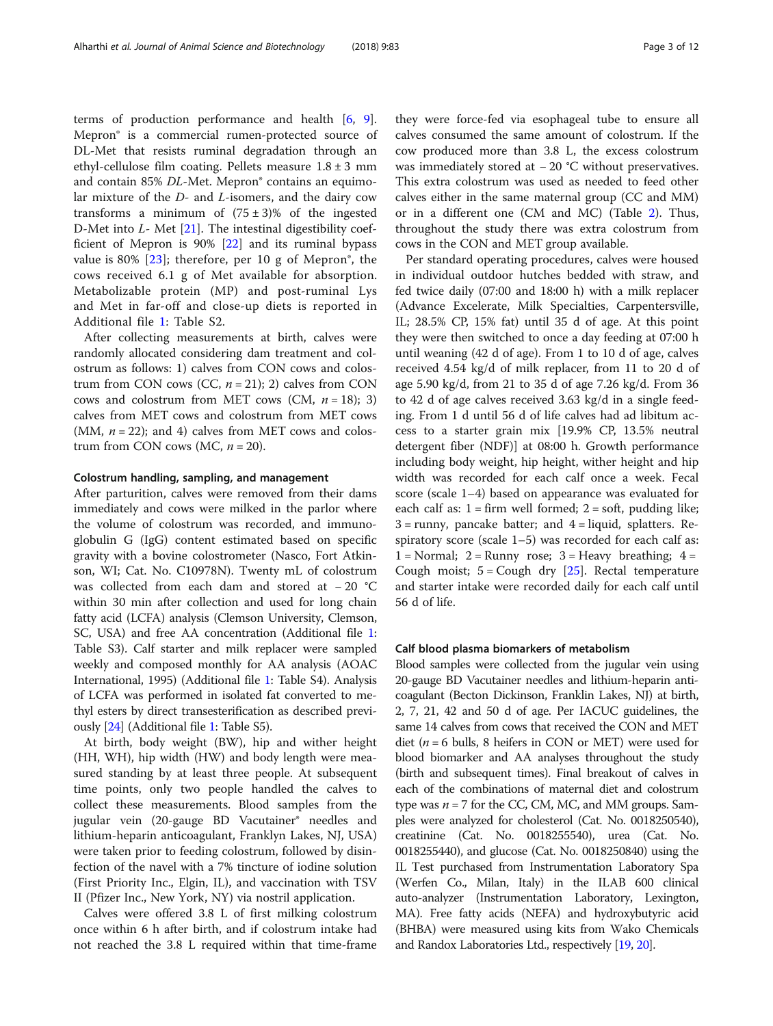terms of production performance and health [[6,](#page-10-0) [9](#page-10-0)]. Mepron® is a commercial rumen-protected source of DL-Met that resists ruminal degradation through an ethyl-cellulose film coating. Pellets measure  $1.8 \pm 3$  mm and contain 85% DL-Met. Mepron® contains an equimolar mixture of the D- and L-isomers, and the dairy cow transforms a minimum of  $(75 \pm 3)\%$  of the ingested D-Met into  $L$ - Met  $[21]$  $[21]$ . The intestinal digestibility coefficient of Mepron is 90% [\[22\]](#page-10-0) and its ruminal bypass value is 80%  $[23]$  $[23]$  $[23]$ ; therefore, per 10 g of Mepron<sup>®</sup>, the cows received 6.1 g of Met available for absorption. Metabolizable protein (MP) and post-ruminal Lys and Met in far-off and close-up diets is reported in Additional file [1:](#page-9-0) Table S2.

After collecting measurements at birth, calves were randomly allocated considering dam treatment and colostrum as follows: 1) calves from CON cows and colostrum from CON cows (CC,  $n = 21$ ); 2) calves from CON cows and colostrum from MET cows  $(CM, n = 18)$ ; 3) calves from MET cows and colostrum from MET cows (MM,  $n = 22$ ); and 4) calves from MET cows and colostrum from CON cows (MC,  $n = 20$ ).

#### Colostrum handling, sampling, and management

After parturition, calves were removed from their dams immediately and cows were milked in the parlor where the volume of colostrum was recorded, and immunoglobulin G (IgG) content estimated based on specific gravity with a bovine colostrometer (Nasco, Fort Atkinson, WI; Cat. No. C10978N). Twenty mL of colostrum was collected from each dam and stored at − 20 °C within 30 min after collection and used for long chain fatty acid (LCFA) analysis (Clemson University, Clemson, SC, USA) and free AA concentration (Additional file [1](#page-9-0): Table S3). Calf starter and milk replacer were sampled weekly and composed monthly for AA analysis (AOAC International, 1995) (Additional file [1:](#page-9-0) Table S4). Analysis of LCFA was performed in isolated fat converted to methyl esters by direct transesterification as described previously [\[24\]](#page-10-0) (Additional file [1:](#page-9-0) Table S5).

At birth, body weight (BW), hip and wither height (HH, WH), hip width (HW) and body length were measured standing by at least three people. At subsequent time points, only two people handled the calves to collect these measurements. Blood samples from the jugular vein (20-gauge BD Vacutainer® needles and lithium-heparin anticoagulant, Franklyn Lakes, NJ, USA) were taken prior to feeding colostrum, followed by disinfection of the navel with a 7% tincture of iodine solution (First Priority Inc., Elgin, IL), and vaccination with TSV II (Pfizer Inc., New York, NY) via nostril application.

Calves were offered 3.8 L of first milking colostrum once within 6 h after birth, and if colostrum intake had not reached the 3.8 L required within that time-frame

they were force-fed via esophageal tube to ensure all calves consumed the same amount of colostrum. If the cow produced more than 3.8 L, the excess colostrum was immediately stored at −20 °C without preservatives. This extra colostrum was used as needed to feed other calves either in the same maternal group (CC and MM) or in a different one (CM and MC) (Table [2\)](#page-5-0). Thus, throughout the study there was extra colostrum from cows in the CON and MET group available.

Per standard operating procedures, calves were housed in individual outdoor hutches bedded with straw, and fed twice daily (07:00 and 18:00 h) with a milk replacer (Advance Excelerate, Milk Specialties, Carpentersville, IL; 28.5% CP, 15% fat) until 35 d of age. At this point they were then switched to once a day feeding at 07:00 h until weaning (42 d of age). From 1 to 10 d of age, calves received 4.54 kg/d of milk replacer, from 11 to 20 d of age 5.90 kg/d, from 21 to 35 d of age 7.26 kg/d. From 36 to 42 d of age calves received 3.63 kg/d in a single feeding. From 1 d until 56 d of life calves had ad libitum access to a starter grain mix [19.9% CP, 13.5% neutral detergent fiber (NDF)] at 08:00 h. Growth performance including body weight, hip height, wither height and hip width was recorded for each calf once a week. Fecal score (scale 1–4) based on appearance was evaluated for each calf as:  $1 = firm$  well formed;  $2 = soft$ , pudding like;  $3 =$ runny, pancake batter; and  $4 =$  liquid, splatters. Respiratory score (scale 1–5) was recorded for each calf as:  $1 =$  Normal;  $2 =$  Runny rose;  $3 =$  Heavy breathing;  $4 =$ Cough moist;  $5 = \text{Cough dry}$  [\[25](#page-10-0)]. Rectal temperature and starter intake were recorded daily for each calf until 56 d of life.

#### Calf blood plasma biomarkers of metabolism

Blood samples were collected from the jugular vein using 20-gauge BD Vacutainer needles and lithium-heparin anticoagulant (Becton Dickinson, Franklin Lakes, NJ) at birth, 2, 7, 21, 42 and 50 d of age. Per IACUC guidelines, the same 14 calves from cows that received the CON and MET diet ( $n = 6$  bulls, 8 heifers in CON or MET) were used for blood biomarker and AA analyses throughout the study (birth and subsequent times). Final breakout of calves in each of the combinations of maternal diet and colostrum type was  $n = 7$  for the CC, CM, MC, and MM groups. Samples were analyzed for cholesterol (Cat. No. 0018250540), creatinine (Cat. No. 0018255540), urea (Cat. No. 0018255440), and glucose (Cat. No. 0018250840) using the IL Test purchased from Instrumentation Laboratory Spa (Werfen Co., Milan, Italy) in the ILAB 600 clinical auto-analyzer (Instrumentation Laboratory, Lexington, MA). Free fatty acids (NEFA) and hydroxybutyric acid (BHBA) were measured using kits from Wako Chemicals and Randox Laboratories Ltd., respectively [[19](#page-10-0), [20](#page-10-0)].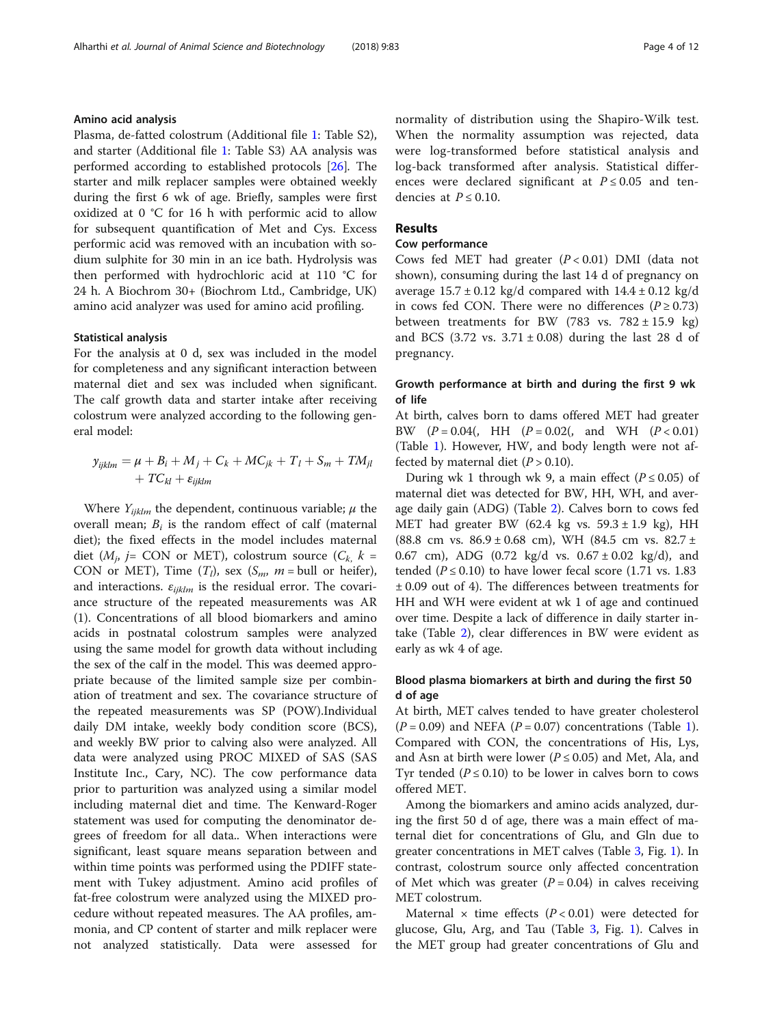#### Amino acid analysis

Plasma, de-fatted colostrum (Additional file [1:](#page-9-0) Table S2), and starter (Additional file [1:](#page-9-0) Table S3) AA analysis was performed according to established protocols [[26\]](#page-10-0). The starter and milk replacer samples were obtained weekly during the first 6 wk of age. Briefly, samples were first oxidized at 0 °C for 16 h with performic acid to allow for subsequent quantification of Met and Cys. Excess performic acid was removed with an incubation with sodium sulphite for 30 min in an ice bath. Hydrolysis was then performed with hydrochloric acid at 110 °C for 24 h. A Biochrom 30+ (Biochrom Ltd., Cambridge, UK) amino acid analyzer was used for amino acid profiling.

#### Statistical analysis

For the analysis at 0 d, sex was included in the model for completeness and any significant interaction between maternal diet and sex was included when significant. The calf growth data and starter intake after receiving colostrum were analyzed according to the following general model:

$$
y_{ijklm} = \mu + B_i + M_j + C_k + MC_{jk} + T_l + S_m + TM_{jl}
$$
  
+ 
$$
TC_{kl} + \varepsilon_{ijklm}
$$

Where  $Y_{ijklm}$  the dependent, continuous variable;  $\mu$  the overall mean;  $B_i$  is the random effect of calf (maternal diet); the fixed effects in the model includes maternal diet ( $M_i$ , j= CON or MET), colostrum source ( $C_k$ ,  $k =$ CON or MET), Time  $(T_l)$ , sex  $(S_m, m = \text{bull or heifer}),$ and interactions.  $\varepsilon_{ijklm}$  is the residual error. The covariance structure of the repeated measurements was AR (1). Concentrations of all blood biomarkers and amino acids in postnatal colostrum samples were analyzed using the same model for growth data without including the sex of the calf in the model. This was deemed appropriate because of the limited sample size per combination of treatment and sex. The covariance structure of the repeated measurements was SP (POW).Individual daily DM intake, weekly body condition score (BCS), and weekly BW prior to calving also were analyzed. All data were analyzed using PROC MIXED of SAS (SAS Institute Inc., Cary, NC). The cow performance data prior to parturition was analyzed using a similar model including maternal diet and time. The Kenward-Roger statement was used for computing the denominator degrees of freedom for all data.. When interactions were significant, least square means separation between and within time points was performed using the PDIFF statement with Tukey adjustment. Amino acid profiles of fat-free colostrum were analyzed using the MIXED procedure without repeated measures. The AA profiles, ammonia, and CP content of starter and milk replacer were not analyzed statistically. Data were assessed for normality of distribution using the Shapiro-Wilk test. When the normality assumption was rejected, data were log-transformed before statistical analysis and log-back transformed after analysis. Statistical differences were declared significant at  $P \le 0.05$  and tendencies at  $P \leq 0.10$ .

#### Results

#### Cow performance

Cows fed MET had greater  $(P < 0.01)$  DMI (data not shown), consuming during the last 14 d of pregnancy on average  $15.7 \pm 0.12$  kg/d compared with  $14.4 \pm 0.12$  kg/d in cows fed CON. There were no differences ( $P \ge 0.73$ ) between treatments for BW (783 vs.  $782 \pm 15.9$  kg) and BCS (3.72 vs.  $3.71 \pm 0.08$ ) during the last 28 d of pregnancy.

#### Growth performance at birth and during the first 9 wk of life

At birth, calves born to dams offered MET had greater BW  $(P = 0.04$ , HH  $(P = 0.02)$ , and WH  $(P < 0.01)$ (Table [1](#page-4-0)). However, HW, and body length were not affected by maternal diet  $(P > 0.10)$ .

During wk 1 through wk 9, a main effect ( $P \le 0.05$ ) of maternal diet was detected for BW, HH, WH, and average daily gain (ADG) (Table [2\)](#page-5-0). Calves born to cows fed MET had greater BW (62.4 kg vs.  $59.3 \pm 1.9$  kg), HH (88.8 cm vs.  $86.9 \pm 0.68$  cm), WH (84.5 cm vs.  $82.7 \pm$ 0.67 cm), ADG (0.72 kg/d vs.  $0.67 \pm 0.02$  kg/d), and tended ( $P \le 0.10$ ) to have lower fecal score (1.71 vs. 1.83 ± 0.09 out of 4). The differences between treatments for HH and WH were evident at wk 1 of age and continued over time. Despite a lack of difference in daily starter intake (Table [2](#page-5-0)), clear differences in BW were evident as early as wk 4 of age.

#### Blood plasma biomarkers at birth and during the first 50 d of age

At birth, MET calves tended to have greater cholesterol  $(P = 0.09)$  and NEFA  $(P = 0.07)$  concentrations (Table [1](#page-4-0)). Compared with CON, the concentrations of His, Lys, and Asn at birth were lower ( $P \le 0.05$ ) and Met, Ala, and Tyr tended ( $P \le 0.10$ ) to be lower in calves born to cows offered MET.

Among the biomarkers and amino acids analyzed, during the first 50 d of age, there was a main effect of maternal diet for concentrations of Glu, and Gln due to greater concentrations in MET calves (Table [3](#page-6-0), Fig. [1\)](#page-7-0). In contrast, colostrum source only affected concentration of Met which was greater  $(P = 0.04)$  in calves receiving MET colostrum.

Maternal  $\times$  time effects ( $P < 0.01$ ) were detected for glucose, Glu, Arg, and Tau (Table [3,](#page-6-0) Fig. [1](#page-7-0)). Calves in the MET group had greater concentrations of Glu and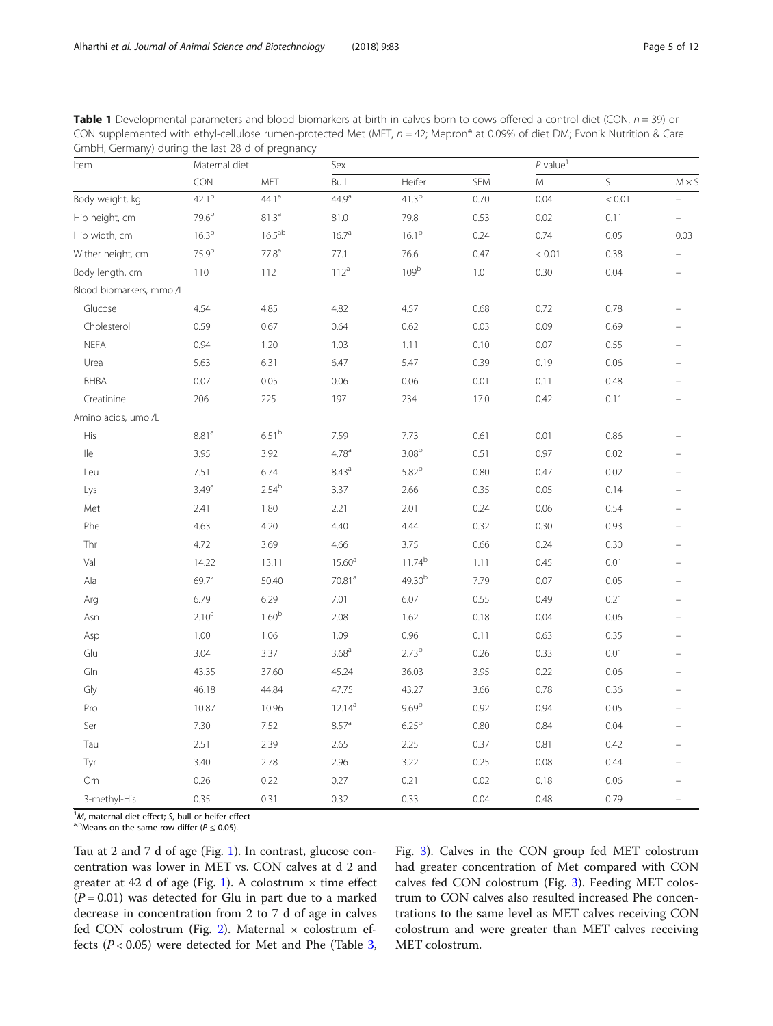<span id="page-4-0"></span>

| <b>Table 1</b> Developmental parameters and blood biomarkers at birth in calves born to cows offered a control diet (CON, $n = 39$ ) or |
|-----------------------------------------------------------------------------------------------------------------------------------------|
| CON supplemented with ethyl-cellulose rumen-protected Met (MET, $n = 42$ ; Mepron® at 0.09% of diet DM; Evonik Nutrition & Care         |
| GmbH, Germany) during the last 28 d of pregnancy                                                                                        |

| Item                     | Maternal diet     |                   | Sex                  |                    |      | $P$ value <sup>1</sup> |        |                          |  |
|--------------------------|-------------------|-------------------|----------------------|--------------------|------|------------------------|--------|--------------------------|--|
|                          | CON               | MET               | Bull                 | Heifer             | SEM  | ${\sf M}$              | S      | $M \times S$             |  |
| Body weight, kg          | $42.1^{b}$        | $44.1^a$          | 44.9 <sup>a</sup>    | $41.3^{b}$         | 0.70 | 0.04                   | < 0.01 |                          |  |
| Hip height, cm           | 79.6 <sup>b</sup> | $81.3^{\text{a}}$ | 81.0                 | 79.8               | 0.53 | 0.02                   | 0.11   |                          |  |
| Hip width, cm            | 16.3 <sup>b</sup> | $16.5^{ab}$       | 16.7 <sup>a</sup>    | $16.1^{b}$         | 0.24 | 0.74                   | 0.05   | 0.03                     |  |
| Wither height, cm        | $75.9^{b}$        | $77.8^{\rm a}$    | 77.1                 | 76.6               | 0.47 | < 0.01                 | 0.38   |                          |  |
| Body length, cm          | 110               | 112               | 112 <sup>a</sup>     | 109 <sup>b</sup>   | 1.0  | 0.30                   | 0.04   |                          |  |
| Blood biomarkers, mmol/L |                   |                   |                      |                    |      |                        |        |                          |  |
| Glucose                  | 4.54              | 4.85              | 4.82                 | 4.57               | 0.68 | 0.72                   | 0.78   |                          |  |
| Cholesterol              | 0.59              | 0.67              | 0.64                 | 0.62               | 0.03 | 0.09                   | 0.69   |                          |  |
| <b>NEFA</b>              | 0.94              | 1.20              | 1.03                 | 1.11               | 0.10 | 0.07                   | 0.55   |                          |  |
| Urea                     | 5.63              | 6.31              | 6.47                 | 5.47               | 0.39 | 0.19                   | 0.06   | $\overline{\phantom{0}}$ |  |
| <b>BHBA</b>              | 0.07              | 0.05              | 0.06                 | 0.06               | 0.01 | 0.11                   | 0.48   | ÷                        |  |
| Creatinine               | 206               | 225               | 197                  | 234                | 17.0 | 0.42                   | 0.11   |                          |  |
| Amino acids, µmol/L      |                   |                   |                      |                    |      |                        |        |                          |  |
| His                      | 8.81 <sup>a</sup> | 6.51 <sup>b</sup> | 7.59                 | 7.73               | 0.61 | 0.01                   | 0.86   |                          |  |
| lle                      | 3.95              | 3.92              | $4.78^{a}$           | 3.08 <sup>b</sup>  | 0.51 | 0.97                   | 0.02   |                          |  |
| Leu                      | 7.51              | 6.74              | $8.43^{a}$           | 5.82 <sup>b</sup>  | 0.80 | 0.47                   | 0.02   | $\equiv$                 |  |
| Lys                      | 3.49 <sup>a</sup> | $2.54^{b}$        | 3.37                 | 2.66               | 0.35 | 0.05                   | 0.14   |                          |  |
| Met                      | 2.41              | 1.80              | 2.21                 | 2.01               | 0.24 | 0.06                   | 0.54   |                          |  |
| Phe                      | 4.63              | 4.20              | 4.40                 | 4.44               | 0.32 | 0.30                   | 0.93   | -                        |  |
| Thr                      | 4.72              | 3.69              | 4.66                 | 3.75               | 0.66 | 0.24                   | 0.30   | -                        |  |
| Val                      | 14.22             | 13.11             | 15.60 <sup>a</sup>   | $11.74^{b}$        | 1.11 | 0.45                   | 0.01   |                          |  |
| Ala                      | 69.71             | 50.40             | $70.81$ <sup>a</sup> | 49.30 <sup>b</sup> | 7.79 | 0.07                   | 0.05   | $\overline{\phantom{0}}$ |  |
| Arg                      | 6.79              | 6.29              | 7.01                 | 6.07               | 0.55 | 0.49                   | 0.21   |                          |  |
| Asn                      | 2.10 <sup>a</sup> | 1.60 <sup>b</sup> | 2.08                 | 1.62               | 0.18 | 0.04                   | 0.06   |                          |  |
| Asp                      | 1.00              | 1.06              | 1.09                 | 0.96               | 0.11 | 0.63                   | 0.35   |                          |  |
| Glu                      | 3.04              | 3.37              | 3.68 <sup>a</sup>    | $2.73^{b}$         | 0.26 | 0.33                   | 0.01   |                          |  |
| Gln                      | 43.35             | 37.60             | 45.24                | 36.03              | 3.95 | 0.22                   | 0.06   |                          |  |
| Gly                      | 46.18             | 44.84             | 47.75                | 43.27              | 3.66 | 0.78                   | 0.36   |                          |  |
| Pro                      | 10.87             | 10.96             | $12.14^{a}$          | 9.69 <sup>b</sup>  | 0.92 | 0.94                   | 0.05   |                          |  |
| Ser                      | 7.30              | 7.52              | 8.57 <sup>a</sup>    | 6.25 <sup>b</sup>  | 0.80 | 0.84                   | 0.04   |                          |  |
| Tau                      | 2.51              | 2.39              | 2.65                 | 2.25               | 0.37 | 0.81                   | 0.42   |                          |  |
| Tyr                      | 3.40              | 2.78              | 2.96                 | 3.22               | 0.25 | 0.08                   | 0.44   |                          |  |
| Orn                      | 0.26              | 0.22              | 0.27                 | 0.21               | 0.02 | 0.18                   | 0.06   |                          |  |
| 3-methyl-His             | 0.35              | 0.31              | 0.32                 | 0.33               | 0.04 | 0.48                   | 0.79   | $\overline{\phantom{0}}$ |  |

 $1/M$ , maternal diet effect; S, bull or heifer effect <sup>a,b</sup>Means on the same row differ ( $P \le 0.05$ ).

Tau at 2 and 7 d of age (Fig. [1](#page-7-0)). In contrast, glucose concentration was lower in MET vs. CON calves at d 2 and greater at 42 d of age (Fig. [1\)](#page-7-0). A colostrum  $\times$  time effect  $(P = 0.01)$  was detected for Glu in part due to a marked decrease in concentration from 2 to 7 d of age in calves fed CON colostrum (Fig. [2\)](#page-7-0). Maternal  $\times$  colostrum effects ( $P < 0.05$ ) were detected for Met and Phe (Table [3](#page-6-0), Fig. [3\)](#page-8-0). Calves in the CON group fed MET colostrum had greater concentration of Met compared with CON calves fed CON colostrum (Fig. [3](#page-8-0)). Feeding MET colostrum to CON calves also resulted increased Phe concentrations to the same level as MET calves receiving CON colostrum and were greater than MET calves receiving MET colostrum.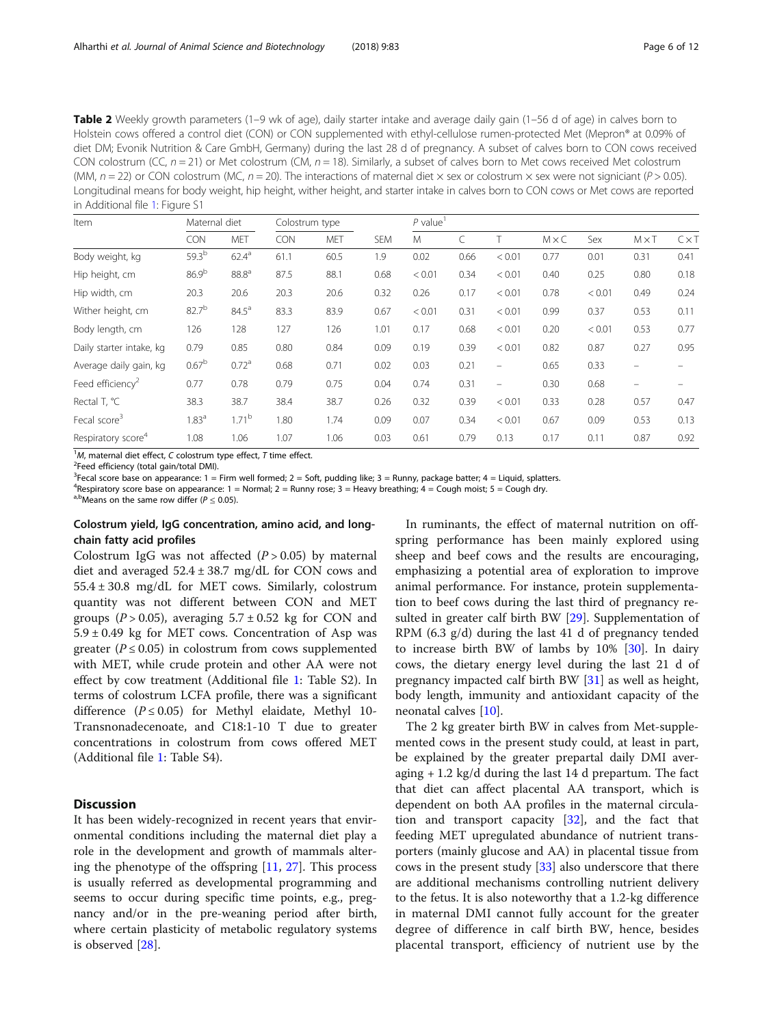<span id="page-5-0"></span>

| Table 2 Weekly growth parameters (1–9 wk of age), daily starter intake and average daily gain (1–56 d of age) in calves born to                            |
|------------------------------------------------------------------------------------------------------------------------------------------------------------|
| Holstein cows offered a control diet (CON) or CON supplemented with ethyl-cellulose rumen-protected Met (Mepron® at 0.09% of                               |
| diet DM; Evonik Nutrition & Care GmbH, Germany) during the last 28 d of pregnancy. A subset of calves born to CON cows received                            |
| CON colostrum (CC, $n = 21$ ) or Met colostrum (CM, $n = 18$ ). Similarly, a subset of calves born to Met cows received Met colostrum                      |
| (MM, $n = 22$ ) or CON colostrum (MC, $n = 20$ ). The interactions of maternal diet $\times$ sex or colostrum $\times$ sex were not signiciant (P > 0.05). |
| Longitudinal means for body weight, hip height, wither height, and starter intake in calves born to CON cows or Met cows are reported                      |
| in Additional file 1: Figure S1                                                                                                                            |

| Item                           | Maternal diet     |                   | Colostrum type |            |            | $P$ value |      |                          |              |        |                          |              |
|--------------------------------|-------------------|-------------------|----------------|------------|------------|-----------|------|--------------------------|--------------|--------|--------------------------|--------------|
|                                | <b>CON</b>        | <b>MET</b>        | CON            | <b>MET</b> | <b>SEM</b> | M         | C    |                          | $M \times C$ | Sex    | $M \times T$             | $C \times T$ |
| Body weight, kg                | $59.3^{b}$        | $62.4^{a}$        | 61.1           | 60.5       | 1.9        | 0.02      | 0.66 | < 0.01                   | 0.77         | 0.01   | 0.31                     | 0.41         |
| Hip height, cm                 | 86.9 <sup>b</sup> | 88.8 <sup>a</sup> | 87.5           | 88.1       | 0.68       | < 0.01    | 0.34 | < 0.01                   | 0.40         | 0.25   | 0.80                     | 0.18         |
| Hip width, cm                  | 20.3              | 20.6              | 20.3           | 20.6       | 0.32       | 0.26      | 0.17 | < 0.01                   | 0.78         | < 0.01 | 0.49                     | 0.24         |
| Wither height, cm              | $82.7^{b}$        | $84.5^{\circ}$    | 83.3           | 83.9       | 0.67       | < 0.01    | 0.31 | < 0.01                   | 0.99         | 0.37   | 0.53                     | 0.11         |
| Body length, cm                | 126               | 128               | 127            | 126        | 1.01       | 0.17      | 0.68 | < 0.01                   | 0.20         | < 0.01 | 0.53                     | 0.77         |
| Daily starter intake, kg       | 0.79              | 0.85              | 0.80           | 0.84       | 0.09       | 0.19      | 0.39 | < 0.01                   | 0.82         | 0.87   | 0.27                     | 0.95         |
| Average daily gain, kg         | 0.67 <sup>b</sup> | 0.72 <sup>a</sup> | 0.68           | 0.71       | 0.02       | 0.03      | 0.21 | $\overline{\phantom{m}}$ | 0.65         | 0.33   | -                        |              |
| Feed efficiency <sup>2</sup>   | 0.77              | 0.78              | 0.79           | 0.75       | 0.04       | 0.74      | 0.31 | $\overline{\phantom{m}}$ | 0.30         | 0.68   | $\overline{\phantom{0}}$ |              |
| Rectal T, °C                   | 38.3              | 38.7              | 38.4           | 38.7       | 0.26       | 0.32      | 0.39 | < 0.01                   | 0.33         | 0.28   | 0.57                     | 0.47         |
| Fecal score <sup>3</sup>       | 1.83 <sup>a</sup> | 1.71 <sup>b</sup> | 1.80           | 1.74       | 0.09       | 0.07      | 0.34 | < 0.01                   | 0.67         | 0.09   | 0.53                     | 0.13         |
| Respiratory score <sup>4</sup> | 1.08              | 1.06              | 1.07           | 1.06       | 0.03       | 0.61      | 0.79 | 0.13                     | 0.17         | 0.11   | 0.87                     | 0.92         |

<sup>1</sup>*M*, maternal diet effect, *C* colostrum type effect, *T* time effect.

<sup>2</sup>Feed efficiency (total gain/total DMI).

<sup>3</sup> Fecal score base on appearance: 1 = Firm well formed; 2 = Soft, pudding like; 3 = Runny, package batter; 4 = Liquid, splatters.

4 Respiratory score base on appearance: 1 = Normal; 2 = Runny rose; 3 = Heavy breathing; 4 = Cough moist; 5 = Cough dry.

<sup>a,b</sup>Means on the same row differ ( $P \le 0.05$ ).

#### Colostrum yield, IgG concentration, amino acid, and longchain fatty acid profiles

Colostrum IgG was not affected  $(P > 0.05)$  by maternal diet and averaged  $52.4 \pm 38.7$  mg/dL for CON cows and 55.4 ± 30.8 mg/dL for MET cows. Similarly, colostrum quantity was not different between CON and MET groups ( $P > 0.05$ ), averaging  $5.7 \pm 0.52$  kg for CON and  $5.9 \pm 0.49$  kg for MET cows. Concentration of Asp was greater ( $P \le 0.05$ ) in colostrum from cows supplemented with MET, while crude protein and other AA were not effect by cow treatment (Additional file [1](#page-9-0): Table S2). In terms of colostrum LCFA profile, there was a significant difference  $(P \le 0.05)$  for Methyl elaidate, Methyl 10-Transnonadecenoate, and C18:1-10 T due to greater concentrations in colostrum from cows offered MET (Additional file [1](#page-9-0): Table S4).

#### **Discussion**

It has been widely-recognized in recent years that environmental conditions including the maternal diet play a role in the development and growth of mammals altering the phenotype of the offspring [[11,](#page-10-0) [27](#page-10-0)]. This process is usually referred as developmental programming and seems to occur during specific time points, e.g., pregnancy and/or in the pre-weaning period after birth, where certain plasticity of metabolic regulatory systems is observed [[28](#page-10-0)].

In ruminants, the effect of maternal nutrition on offspring performance has been mainly explored using sheep and beef cows and the results are encouraging, emphasizing a potential area of exploration to improve animal performance. For instance, protein supplementation to beef cows during the last third of pregnancy re-sulted in greater calf birth BW [\[29\]](#page-10-0). Supplementation of RPM (6.3 g/d) during the last 41 d of pregnancy tended to increase birth BW of lambs by  $10\%$  [\[30](#page-10-0)]. In dairy cows, the dietary energy level during the last 21 d of pregnancy impacted calf birth BW [[31\]](#page-10-0) as well as height, body length, immunity and antioxidant capacity of the neonatal calves [[10\]](#page-10-0).

The 2 kg greater birth BW in calves from Met-supplemented cows in the present study could, at least in part, be explained by the greater prepartal daily DMI averaging  $+1.2$  kg/d during the last 14 d prepartum. The fact that diet can affect placental AA transport, which is dependent on both AA profiles in the maternal circulation and transport capacity [\[32](#page-10-0)], and the fact that feeding MET upregulated abundance of nutrient transporters (mainly glucose and AA) in placental tissue from cows in the present study [[33](#page-10-0)] also underscore that there are additional mechanisms controlling nutrient delivery to the fetus. It is also noteworthy that a 1.2-kg difference in maternal DMI cannot fully account for the greater degree of difference in calf birth BW, hence, besides placental transport, efficiency of nutrient use by the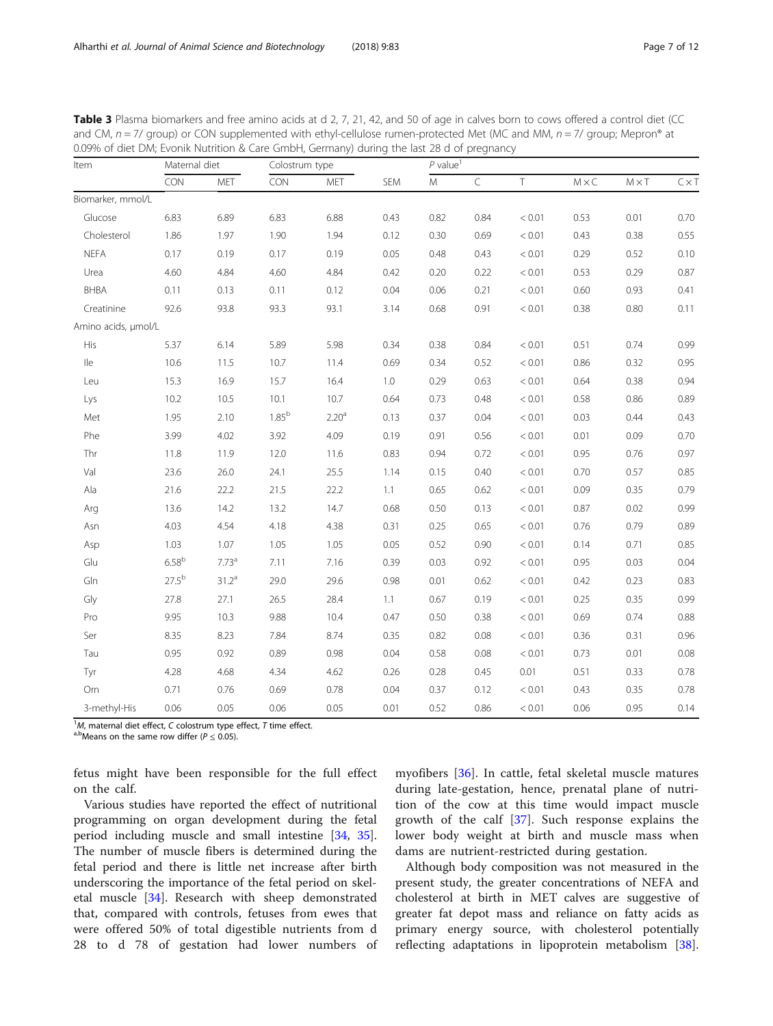| Item                | Maternal diet     |                   | Colostrum type |                   |      | $P$ value <sup>1</sup> |           |        |              |              |              |
|---------------------|-------------------|-------------------|----------------|-------------------|------|------------------------|-----------|--------|--------------|--------------|--------------|
|                     | CON               | MET               | CON            | MET               | SEM  | ${\sf M}$              | $\subset$ | $\top$ | $M \times C$ | $M \times T$ | $C \times T$ |
| Biomarker, mmol/L   |                   |                   |                |                   |      |                        |           |        |              |              |              |
| Glucose             | 6.83              | 6.89              | 6.83           | 6.88              | 0.43 | 0.82                   | 0.84      | < 0.01 | 0.53         | 0.01         | 0.70         |
| Cholesterol         | 1.86              | 1.97              | 1.90           | 1.94              | 0.12 | 0.30                   | 0.69      | < 0.01 | 0.43         | 0.38         | 0.55         |
| <b>NEFA</b>         | 0.17              | 0.19              | 0.17           | 0.19              | 0.05 | 0.48                   | 0.43      | < 0.01 | 0.29         | 0.52         | 0.10         |
| Urea                | 4.60              | 4.84              | 4.60           | 4.84              | 0.42 | 0.20                   | 0.22      | < 0.01 | 0.53         | 0.29         | 0.87         |
| BHBA                | 0.11              | 0.13              | 0.11           | 0.12              | 0.04 | 0.06                   | 0.21      | < 0.01 | 0.60         | 0.93         | 0.41         |
| Creatinine          | 92.6              | 93.8              | 93.3           | 93.1              | 3.14 | 0.68                   | 0.91      | < 0.01 | 0.38         | 0.80         | 0.11         |
| Amino acids, µmol/L |                   |                   |                |                   |      |                        |           |        |              |              |              |
| <b>His</b>          | 5.37              | 6.14              | 5.89           | 5.98              | 0.34 | 0.38                   | 0.84      | < 0.01 | 0.51         | 0.74         | 0.99         |
| lle                 | 10.6              | 11.5              | 10.7           | 11.4              | 0.69 | 0.34                   | 0.52      | < 0.01 | 0.86         | 0.32         | 0.95         |
| Leu                 | 15.3              | 16.9              | 15.7           | 16.4              | 1.0  | 0.29                   | 0.63      | < 0.01 | 0.64         | 0.38         | 0.94         |
| Lys                 | 10.2              | 10.5              | 10.1           | 10.7              | 0.64 | 0.73                   | 0.48      | < 0.01 | 0.58         | 0.86         | 0.89         |
| Met                 | 1.95              | 2.10              | $1.85^{b}$     | 2.20 <sup>a</sup> | 0.13 | 0.37                   | 0.04      | < 0.01 | 0.03         | 0.44         | 0.43         |
| Phe                 | 3.99              | 4.02              | 3.92           | 4.09              | 0.19 | 0.91                   | 0.56      | < 0.01 | 0.01         | 0.09         | 0.70         |
| Thr                 | 11.8              | 11.9              | 12.0           | 11.6              | 0.83 | 0.94                   | 0.72      | < 0.01 | 0.95         | 0.76         | 0.97         |
| Val                 | 23.6              | 26.0              | 24.1           | 25.5              | 1.14 | 0.15                   | 0.40      | < 0.01 | 0.70         | 0.57         | 0.85         |
| Ala                 | 21.6              | 22.2              | 21.5           | 22.2              | 1.1  | 0.65                   | 0.62      | < 0.01 | 0.09         | 0.35         | 0.79         |
| Arg                 | 13.6              | 14.2              | 13.2           | 14.7              | 0.68 | 0.50                   | 0.13      | < 0.01 | 0.87         | 0.02         | 0.99         |
| Asn                 | 4.03              | 4.54              | 4.18           | 4.38              | 0.31 | 0.25                   | 0.65      | < 0.01 | 0.76         | 0.79         | 0.89         |
| Asp                 | 1.03              | 1.07              | 1.05           | 1.05              | 0.05 | 0.52                   | 0.90      | < 0.01 | 0.14         | 0.71         | 0.85         |
| Glu                 | 6.58 <sup>b</sup> | 7.73 <sup>a</sup> | 7.11           | 7.16              | 0.39 | 0.03                   | 0.92      | < 0.01 | 0.95         | 0.03         | 0.04         |
| Gln                 | $27.5^{b}$        | 31.2 <sup>a</sup> | 29.0           | 29.6              | 0.98 | 0.01                   | 0.62      | < 0.01 | 0.42         | 0.23         | 0.83         |
| Gly                 | 27.8              | 27.1              | 26.5           | 28.4              | 1.1  | 0.67                   | 0.19      | < 0.01 | 0.25         | 0.35         | 0.99         |
| Pro                 | 9.95              | 10.3              | 9.88           | 10.4              | 0.47 | 0.50                   | 0.38      | < 0.01 | 0.69         | 0.74         | 0.88         |
| Ser                 | 8.35              | 8.23              | 7.84           | 8.74              | 0.35 | 0.82                   | 0.08      | < 0.01 | 0.36         | 0.31         | 0.96         |
| Tau                 | 0.95              | 0.92              | 0.89           | 0.98              | 0.04 | 0.58                   | 0.08      | < 0.01 | 0.73         | 0.01         | 0.08         |
| Tyr                 | 4.28              | 4.68              | 4.34           | 4.62              | 0.26 | 0.28                   | 0.45      | 0.01   | 0.51         | 0.33         | 0.78         |
| Orn                 | 0.71              | 0.76              | 0.69           | 0.78              | 0.04 | 0.37                   | 0.12      | < 0.01 | 0.43         | 0.35         | 0.78         |
| 3-methyl-His        | 0.06              | 0.05              | 0.06           | 0.05              | 0.01 | 0.52                   | 0.86      | < 0.01 | 0.06         | 0.95         | 0.14         |

<span id="page-6-0"></span>Table 3 Plasma biomarkers and free amino acids at d 2, 7, 21, 42, and 50 of age in calves born to cows offered a control diet (CC and CM,  $n = 7$ / group) or CON supplemented with ethyl-cellulose rumen-protected Met (MC and MM,  $n = 7$ / group; Mepron® at 0.00% of dist DM: Evenik Nutrition 8. Care CmbH. Cormany) during the last 28 d of prognancy.  $0.0$  digina the last 20 d of

 $1M$ , maternal diet effect, C colostrum type effect, T time effect.

<sup>a,b</sup>Means on the same row differ ( $P \le 0.05$ ).

fetus might have been responsible for the full effect on the calf.

Various studies have reported the effect of nutritional programming on organ development during the fetal period including muscle and small intestine [[34,](#page-10-0) [35](#page-10-0)]. The number of muscle fibers is determined during the fetal period and there is little net increase after birth underscoring the importance of the fetal period on skeletal muscle [\[34\]](#page-10-0). Research with sheep demonstrated that, compared with controls, fetuses from ewes that were offered 50% of total digestible nutrients from d 28 to d 78 of gestation had lower numbers of

myofibers [[36](#page-10-0)]. In cattle, fetal skeletal muscle matures during late-gestation, hence, prenatal plane of nutrition of the cow at this time would impact muscle growth of the calf [\[37](#page-10-0)]. Such response explains the lower body weight at birth and muscle mass when dams are nutrient-restricted during gestation.

Although body composition was not measured in the present study, the greater concentrations of NEFA and cholesterol at birth in MET calves are suggestive of greater fat depot mass and reliance on fatty acids as primary energy source, with cholesterol potentially reflecting adaptations in lipoprotein metabolism [\[38](#page-10-0)].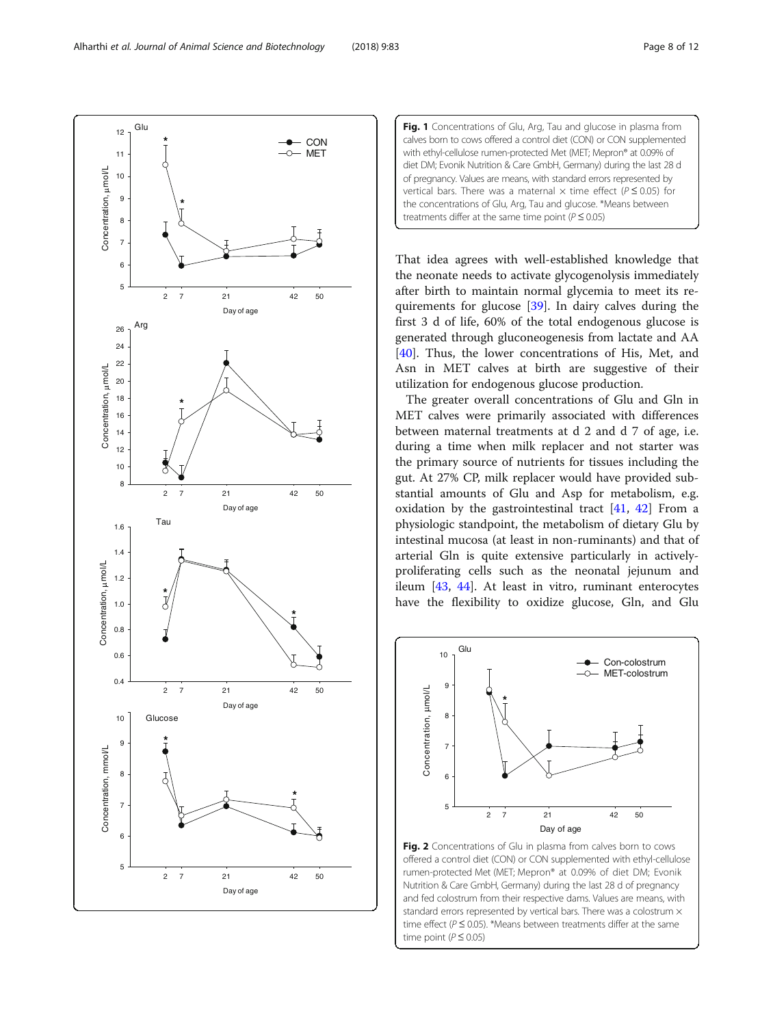<span id="page-7-0"></span>Alharthi et al. Journal of Animal Science and Biotechnology (2018) 9:83 Page 8 of 12



Fig. 1 Concentrations of Glu, Arg, Tau and glucose in plasma from calves born to cows offered a control diet (CON) or CON supplemented with ethyl-cellulose rumen-protected Met (MET; Mepron® at 0.09% of diet DM; Evonik Nutrition & Care GmbH, Germany) during the last 28 d of pregnancy. Values are means, with standard errors represented by vertical bars. There was a maternal  $\times$  time effect ( $P \le 0.05$ ) for the concentrations of Glu, Arg, Tau and glucose. \*Means between treatments differ at the same time point ( $P \le 0.05$ )

That idea agrees with well-established knowledge that the neonate needs to activate glycogenolysis immediately after birth to maintain normal glycemia to meet its requirements for glucose [\[39\]](#page-10-0). In dairy calves during the first 3 d of life, 60% of the total endogenous glucose is generated through gluconeogenesis from lactate and AA [[40\]](#page-10-0). Thus, the lower concentrations of His, Met, and Asn in MET calves at birth are suggestive of their utilization for endogenous glucose production.

The greater overall concentrations of Glu and Gln in MET calves were primarily associated with differences between maternal treatments at d 2 and d 7 of age, i.e. during a time when milk replacer and not starter was the primary source of nutrients for tissues including the gut. At 27% CP, milk replacer would have provided substantial amounts of Glu and Asp for metabolism, e.g. oxidation by the gastrointestinal tract [\[41,](#page-10-0) [42\]](#page-10-0) From a physiologic standpoint, the metabolism of dietary Glu by intestinal mucosa (at least in non-ruminants) and that of arterial Gln is quite extensive particularly in activelyproliferating cells such as the neonatal jejunum and ileum [[43,](#page-10-0) [44](#page-10-0)]. At least in vitro, ruminant enterocytes have the flexibility to oxidize glucose, Gln, and Glu



Fig. 2 Concentrations of Glu in plasma from calves born to cows offered a control diet (CON) or CON supplemented with ethyl-cellulose rumen-protected Met (MET; Mepron® at 0.09% of diet DM; Evonik Nutrition & Care GmbH, Germany) during the last 28 d of pregnancy and fed colostrum from their respective dams. Values are means, with standard errors represented by vertical bars. There was a colostrum  $\times$ time effect ( $P \le 0.05$ ). \*Means between treatments differ at the same time point ( $P \le 0.05$ )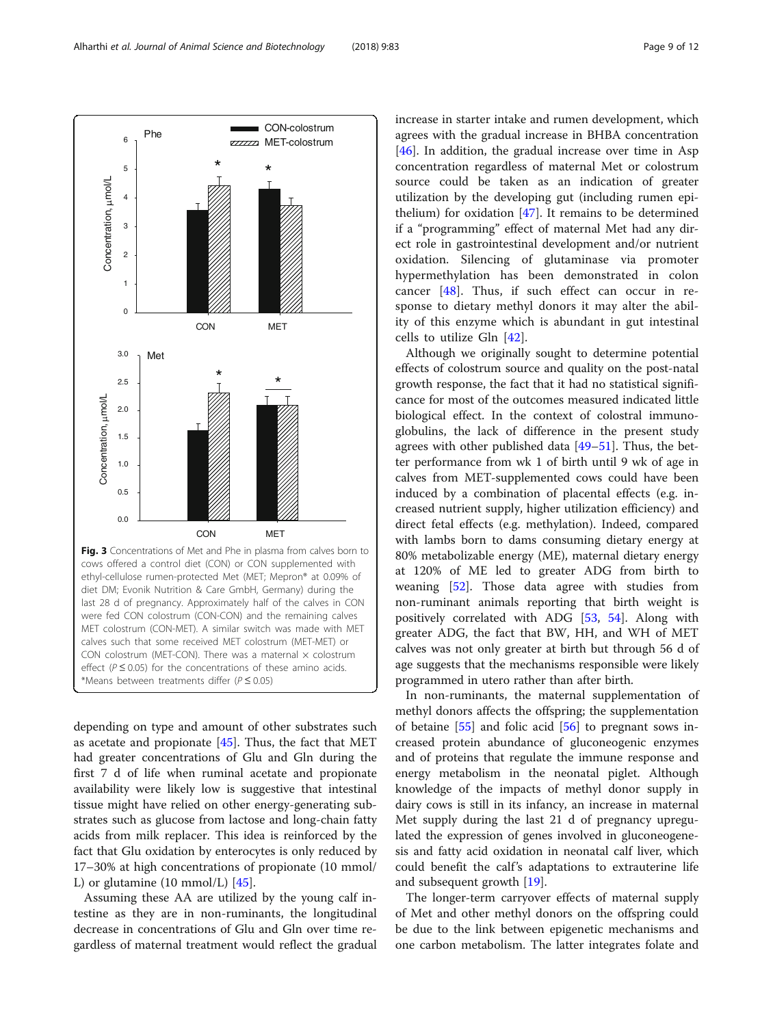<span id="page-8-0"></span>

depending on type and amount of other substrates such as acetate and propionate [[45\]](#page-10-0). Thus, the fact that MET had greater concentrations of Glu and Gln during the first 7 d of life when ruminal acetate and propionate availability were likely low is suggestive that intestinal tissue might have relied on other energy-generating substrates such as glucose from lactose and long-chain fatty acids from milk replacer. This idea is reinforced by the fact that Glu oxidation by enterocytes is only reduced by 17–30% at high concentrations of propionate (10 mmol/ L) or glutamine (10 mmol/L) [\[45\]](#page-10-0).

Assuming these AA are utilized by the young calf intestine as they are in non-ruminants, the longitudinal decrease in concentrations of Glu and Gln over time regardless of maternal treatment would reflect the gradual increase in starter intake and rumen development, which agrees with the gradual increase in BHBA concentration [[46\]](#page-10-0). In addition, the gradual increase over time in Asp concentration regardless of maternal Met or colostrum source could be taken as an indication of greater utilization by the developing gut (including rumen epithelium) for oxidation [[47\]](#page-10-0). It remains to be determined if a "programming" effect of maternal Met had any direct role in gastrointestinal development and/or nutrient oxidation. Silencing of glutaminase via promoter hypermethylation has been demonstrated in colon cancer [[48\]](#page-11-0). Thus, if such effect can occur in response to dietary methyl donors it may alter the ability of this enzyme which is abundant in gut intestinal cells to utilize Gln [\[42](#page-10-0)].

Although we originally sought to determine potential effects of colostrum source and quality on the post-natal growth response, the fact that it had no statistical significance for most of the outcomes measured indicated little biological effect. In the context of colostral immunoglobulins, the lack of difference in the present study agrees with other published data [[49](#page-11-0)–[51](#page-11-0)]. Thus, the better performance from wk 1 of birth until 9 wk of age in calves from MET-supplemented cows could have been induced by a combination of placental effects (e.g. increased nutrient supply, higher utilization efficiency) and direct fetal effects (e.g. methylation). Indeed, compared with lambs born to dams consuming dietary energy at 80% metabolizable energy (ME), maternal dietary energy at 120% of ME led to greater ADG from birth to weaning [\[52\]](#page-11-0). Those data agree with studies from non-ruminant animals reporting that birth weight is positively correlated with ADG [[53](#page-11-0), [54](#page-11-0)]. Along with greater ADG, the fact that BW, HH, and WH of MET calves was not only greater at birth but through 56 d of age suggests that the mechanisms responsible were likely programmed in utero rather than after birth.

In non-ruminants, the maternal supplementation of methyl donors affects the offspring; the supplementation of betaine [\[55](#page-11-0)] and folic acid [\[56](#page-11-0)] to pregnant sows increased protein abundance of gluconeogenic enzymes and of proteins that regulate the immune response and energy metabolism in the neonatal piglet. Although knowledge of the impacts of methyl donor supply in dairy cows is still in its infancy, an increase in maternal Met supply during the last 21 d of pregnancy upregulated the expression of genes involved in gluconeogenesis and fatty acid oxidation in neonatal calf liver, which could benefit the calf's adaptations to extrauterine life and subsequent growth [\[19](#page-10-0)].

The longer-term carryover effects of maternal supply of Met and other methyl donors on the offspring could be due to the link between epigenetic mechanisms and one carbon metabolism. The latter integrates folate and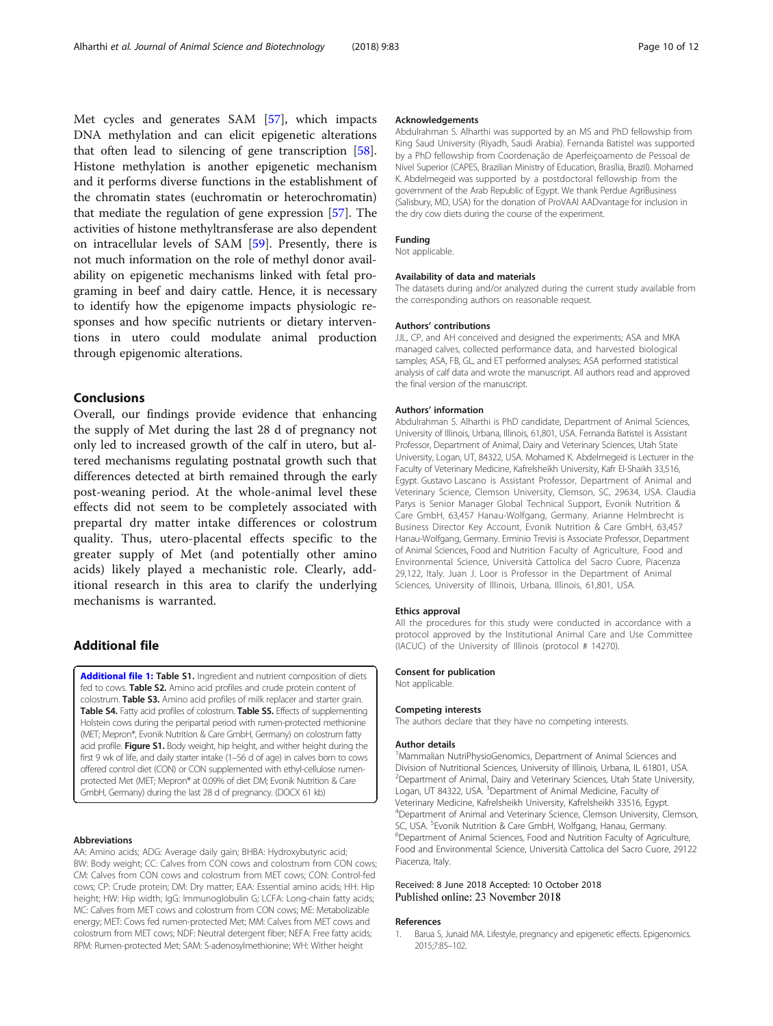<span id="page-9-0"></span>Met cycles and generates SAM [[57](#page-11-0)], which impacts DNA methylation and can elicit epigenetic alterations that often lead to silencing of gene transcription [\[58](#page-11-0)]. Histone methylation is another epigenetic mechanism and it performs diverse functions in the establishment of the chromatin states (euchromatin or heterochromatin) that mediate the regulation of gene expression [[57\]](#page-11-0). The activities of histone methyltransferase are also dependent on intracellular levels of SAM [[59](#page-11-0)]. Presently, there is not much information on the role of methyl donor availability on epigenetic mechanisms linked with fetal programing in beef and dairy cattle. Hence, it is necessary to identify how the epigenome impacts physiologic responses and how specific nutrients or dietary interventions in utero could modulate animal production through epigenomic alterations.

#### Conclusions

Overall, our findings provide evidence that enhancing the supply of Met during the last 28 d of pregnancy not only led to increased growth of the calf in utero, but altered mechanisms regulating postnatal growth such that differences detected at birth remained through the early post-weaning period. At the whole-animal level these effects did not seem to be completely associated with prepartal dry matter intake differences or colostrum quality. Thus, utero-placental effects specific to the greater supply of Met (and potentially other amino acids) likely played a mechanistic role. Clearly, additional research in this area to clarify the underlying mechanisms is warranted.

#### Additional file

[Additional file 1:](https://doi.org/10.1186/s40104-018-0298-1) Table S1. Ingredient and nutrient composition of diets fed to cows. Table S2. Amino acid profiles and crude protein content of colostrum. Table S3. Amino acid profiles of milk replacer and starter grain. Table S4. Fatty acid profiles of colostrum. Table S5. Effects of supplementing Holstein cows during the peripartal period with rumen-protected methionine (MET; Mepron®, Evonik Nutrition & Care GmbH, Germany) on colostrum fatty acid profile. Figure S1. Body weight, hip height, and wither height during the first 9 wk of life, and daily starter intake (1–56 d of age) in calves born to cows offered control diet (CON) or CON supplemented with ethyl-cellulose rumenprotected Met (MET; Mepron® at 0.09% of diet DM; Evonik Nutrition & Care GmbH, Germany) during the last 28 d of pregnancy. (DOCX 61 kb)

#### Abbreviations

AA: Amino acids; ADG: Average daily gain; BHBA: Hydroxybutyric acid; BW: Body weight; CC: Calves from CON cows and colostrum from CON cows; CM: Calves from CON cows and colostrum from MET cows; CON: Control-fed cows; CP: Crude protein; DM: Dry matter; EAA: Essential amino acids; HH: Hip height; HW: Hip width; IgG: Immunoglobulin G; LCFA: Long-chain fatty acids; MC: Calves from MET cows and colostrum from CON cows; ME: Metabolizable energy; MET: Cows fed rumen-protected Met; MM: Calves from MET cows and colostrum from MET cows; NDF: Neutral detergent fiber; NEFA: Free fatty acids; RPM: Rumen-protected Met; SAM: S-adenosylmethionine; WH: Wither height

#### Acknowledgements

Abdulrahman S. Alharthi was supported by an MS and PhD fellowship from King Saud University (Riyadh, Saudi Arabia). Fernanda Batistel was supported by a PhD fellowship from Coordenação de Aperfeiçoamento de Pessoal de Nível Superior (CAPES, Brazilian Ministry of Education, Brasília, Brazil). Mohamed K. Abdelmegeid was supported by a postdoctoral fellowship from the government of the Arab Republic of Egypt. We thank Perdue AgriBusiness (Salisbury, MD, USA) for the donation of ProVAAl AADvantage for inclusion in the dry cow diets during the course of the experiment.

#### Funding

Not applicable.

#### Availability of data and materials

The datasets during and/or analyzed during the current study available from the corresponding authors on reasonable request.

#### Authors' contributions

JJL, CP, and AH conceived and designed the experiments; ASA and MKA managed calves, collected performance data, and harvested biological samples; ASA, FB, GL, and ET performed analyses; ASA performed statistical analysis of calf data and wrote the manuscript. All authors read and approved the final version of the manuscript.

#### Authors' information

Abdulrahman S. Alharthi is PhD candidate, Department of Animal Sciences, University of Illinois, Urbana, Illinois, 61,801, USA. Fernanda Batistel is Assistant Professor, Department of Animal, Dairy and Veterinary Sciences, Utah State University, Logan, UT, 84322, USA. Mohamed K. Abdelmegeid is Lecturer in the Faculty of Veterinary Medicine, Kafrelsheikh University, Kafr El-Shaikh 33,516, Egypt. Gustavo Lascano is Assistant Professor, Department of Animal and Veterinary Science, Clemson University, Clemson, SC, 29634, USA. Claudia Parys is Senior Manager Global Technical Support, Evonik Nutrition & Care GmbH, 63,457 Hanau-Wolfgang, Germany. Arianne Helmbrecht is Business Director Key Account, Evonik Nutrition & Care GmbH, 63,457 Hanau-Wolfgang, Germany. Erminio Trevisi is Associate Professor, Department of Animal Sciences, Food and Nutrition Faculty of Agriculture, Food and Environmental Science, Università Cattolica del Sacro Cuore, Piacenza 29,122, Italy. Juan J. Loor is Professor in the Department of Animal Sciences, University of Illinois, Urbana, Illinois, 61,801, USA.

#### Ethics approval

All the procedures for this study were conducted in accordance with a protocol approved by the Institutional Animal Care and Use Committee (IACUC) of the University of Illinois (protocol # 14270).

#### Consent for publication

Not applicable.

#### Competing interests

The authors declare that they have no competing interests.

#### Author details

<sup>1</sup>Mammalian NutriPhysioGenomics, Department of Animal Sciences and Division of Nutritional Sciences, University of Illinois, Urbana, IL 61801, USA. <sup>2</sup>Department of Animal, Dairy and Veterinary Sciences, Utah State University, Logan, UT 84322, USA. <sup>3</sup>Department of Animal Medicine, Faculty of Veterinary Medicine, Kafrelsheikh University, Kafrelsheikh 33516, Egypt. 4 Department of Animal and Veterinary Science, Clemson University, Clemson, SC, USA. <sup>5</sup> Evonik Nutrition & Care GmbH, Wolfgang, Hanau, Germany.<br><sup>6</sup> Department of Animal Sciences, Eood, and Nutrition Eaculty of Agric Department of Animal Sciences, Food and Nutrition Faculty of Agriculture, Food and Environmental Science, Università Cattolica del Sacro Cuore, 29122 Piacenza, Italy.

## Received: 8 June 2018 Accepted: 10 October 2018

#### References

1. Barua S, Junaid MA. Lifestyle, pregnancy and epigenetic effects. Epigenomics. 2015;7:85–102.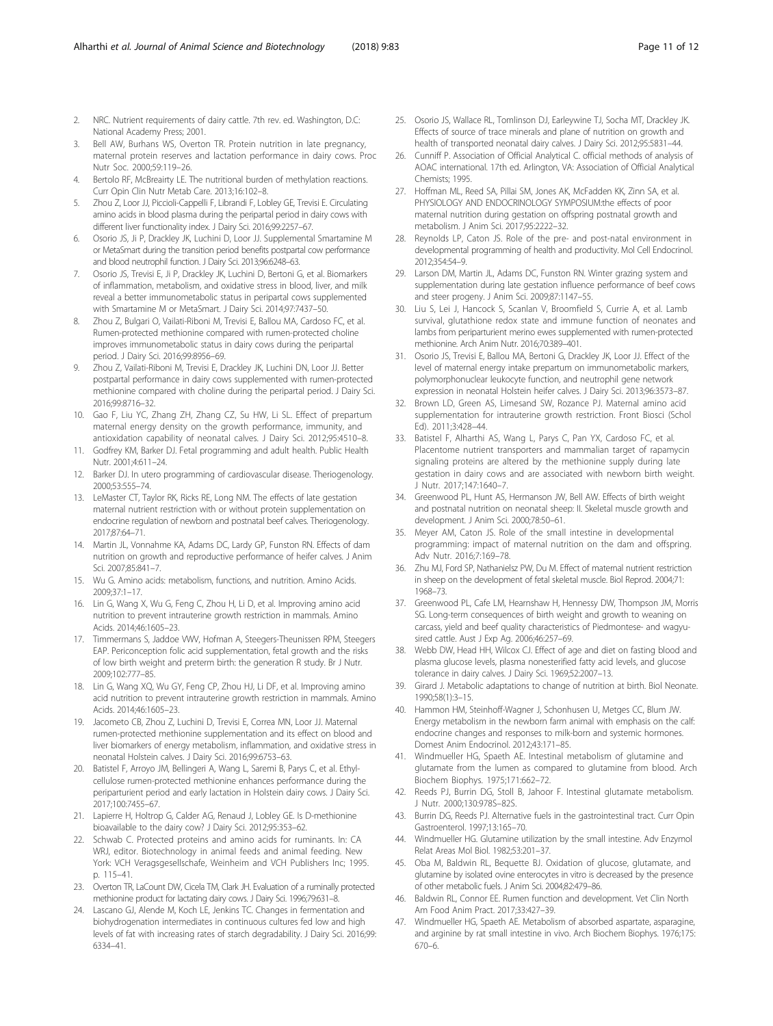- <span id="page-10-0"></span>2. NRC. Nutrient requirements of dairy cattle. 7th rev. ed. Washington, D.C: National Academy Press; 2001.
- 3. Bell AW, Burhans WS, Overton TR. Protein nutrition in late pregnancy, maternal protein reserves and lactation performance in dairy cows. Proc Nutr Soc. 2000;59:119–26.
- 4. Bertolo RF, McBreairty LE. The nutritional burden of methylation reactions. Curr Opin Clin Nutr Metab Care. 2013;16:102–8.
- 5. Zhou Z, Loor JJ, Piccioli-Cappelli F, Librandi F, Lobley GE, Trevisi E. Circulating amino acids in blood plasma during the peripartal period in dairy cows with different liver functionality index. J Dairy Sci. 2016;99:2257–67.
- 6. Osorio JS, Ji P, Drackley JK, Luchini D, Loor JJ. Supplemental Smartamine M or MetaSmart during the transition period benefits postpartal cow performance and blood neutrophil function. J Dairy Sci. 2013;96:6248–63.
- 7. Osorio JS, Trevisi E, Ji P, Drackley JK, Luchini D, Bertoni G, et al. Biomarkers of inflammation, metabolism, and oxidative stress in blood, liver, and milk reveal a better immunometabolic status in peripartal cows supplemented with Smartamine M or MetaSmart. J Dairy Sci. 2014;97:7437–50.
- Zhou Z, Bulgari O, Vailati-Riboni M, Trevisi E, Ballou MA, Cardoso FC, et al. Rumen-protected methionine compared with rumen-protected choline improves immunometabolic status in dairy cows during the peripartal period. J Dairy Sci. 2016;99:8956–69.
- Zhou Z, Vailati-Riboni M, Trevisi E, Drackley JK, Luchini DN, Loor JJ. Better postpartal performance in dairy cows supplemented with rumen-protected methionine compared with choline during the peripartal period. J Dairy Sci. 2016;99:8716–32.
- 10. Gao F, Liu YC, Zhang ZH, Zhang CZ, Su HW, Li SL. Effect of prepartum maternal energy density on the growth performance, immunity, and antioxidation capability of neonatal calves. J Dairy Sci. 2012;95:4510–8.
- 11. Godfrey KM, Barker DJ. Fetal programming and adult health. Public Health Nutr. 2001;4:611–24.
- 12. Barker DJ. In utero programming of cardiovascular disease. Theriogenology. 2000;53:555–74.
- 13. LeMaster CT, Taylor RK, Ricks RE, Long NM. The effects of late gestation maternal nutrient restriction with or without protein supplementation on endocrine regulation of newborn and postnatal beef calves. Theriogenology. 2017;87:64–71.
- 14. Martin JL, Vonnahme KA, Adams DC, Lardy GP, Funston RN. Effects of dam nutrition on growth and reproductive performance of heifer calves. J Anim Sci. 2007;85:841–7.
- 15. Wu G. Amino acids: metabolism, functions, and nutrition. Amino Acids. 2009;37:1–17.
- 16. Lin G, Wang X, Wu G, Feng C, Zhou H, Li D, et al. Improving amino acid nutrition to prevent intrauterine growth restriction in mammals. Amino Acids. 2014;46:1605–23.
- 17. Timmermans S, Jaddoe VWV, Hofman A, Steegers-Theunissen RPM, Steegers EAP. Periconception folic acid supplementation, fetal growth and the risks of low birth weight and preterm birth: the generation R study. Br J Nutr. 2009;102:777–85.
- 18. Lin G, Wang XQ, Wu GY, Feng CP, Zhou HJ, Li DF, et al. Improving amino acid nutrition to prevent intrauterine growth restriction in mammals. Amino Acids. 2014;46:1605–23.
- 19. Jacometo CB, Zhou Z, Luchini D, Trevisi E, Correa MN, Loor JJ. Maternal rumen-protected methionine supplementation and its effect on blood and liver biomarkers of energy metabolism, inflammation, and oxidative stress in neonatal Holstein calves. J Dairy Sci. 2016;99:6753–63.
- 20. Batistel F, Arroyo JM, Bellingeri A, Wang L, Saremi B, Parys C, et al. Ethylcellulose rumen-protected methionine enhances performance during the periparturient period and early lactation in Holstein dairy cows. J Dairy Sci. 2017;100:7455–67.
- 21. Lapierre H, Holtrop G, Calder AG, Renaud J, Lobley GE. Is D-methionine bioavailable to the dairy cow? J Dairy Sci. 2012;95:353–62.
- 22. Schwab C. Protected proteins and amino acids for ruminants. In: CA WRJ, editor. Biotechnology in animal feeds and animal feeding. New York: VCH Veragsgesellschafe, Weinheim and VCH Publishers Inc; 1995. p. 115–41.
- 23. Overton TR, LaCount DW, Cicela TM, Clark JH. Evaluation of a ruminally protected methionine product for lactating dairy cows. J Dairy Sci. 1996;79:631–8.
- 24. Lascano GJ, Alende M, Koch LE, Jenkins TC. Changes in fermentation and biohydrogenation intermediates in continuous cultures fed low and high levels of fat with increasing rates of starch degradability. J Dairy Sci. 2016;99: 6334–41.
- 25. Osorio JS, Wallace RL, Tomlinson DJ, Earleywine TJ, Socha MT, Drackley JK. Effects of source of trace minerals and plane of nutrition on growth and health of transported neonatal dairy calves. J Dairy Sci. 2012;95:5831–44.
- 26. Cunniff P. Association of Official Analytical C. official methods of analysis of AOAC international. 17th ed. Arlington, VA: Association of Official Analytical Chemists; 1995.
- 27. Hoffman ML, Reed SA, Pillai SM, Jones AK, McFadden KK, Zinn SA, et al. PHYSIOLOGY AND ENDOCRINOLOGY SYMPOSIUM:the effects of poor maternal nutrition during gestation on offspring postnatal growth and metabolism. J Anim Sci. 2017;95:2222–32.
- 28. Reynolds LP, Caton JS. Role of the pre- and post-natal environment in developmental programming of health and productivity. Mol Cell Endocrinol. 2012;354:54–9.
- 29. Larson DM, Martin JL, Adams DC, Funston RN. Winter grazing system and supplementation during late gestation influence performance of beef cows and steer progeny. J Anim Sci. 2009;87:1147–55.
- 30. Liu S, Lei J, Hancock S, Scanlan V, Broomfield S, Currie A, et al. Lamb survival, glutathione redox state and immune function of neonates and lambs from periparturient merino ewes supplemented with rumen-protected methionine. Arch Anim Nutr. 2016;70:389–401.
- 31. Osorio JS, Trevisi E, Ballou MA, Bertoni G, Drackley JK, Loor JJ. Effect of the level of maternal energy intake prepartum on immunometabolic markers, polymorphonuclear leukocyte function, and neutrophil gene network expression in neonatal Holstein heifer calves. J Dairy Sci. 2013;96:3573–87.
- 32. Brown LD, Green AS, Limesand SW, Rozance PJ. Maternal amino acid supplementation for intrauterine growth restriction. Front Biosci (Schol Ed). 2011;3:428–44.
- 33. Batistel F, Alharthi AS, Wang L, Parys C, Pan YX, Cardoso FC, et al. Placentome nutrient transporters and mammalian target of rapamycin signaling proteins are altered by the methionine supply during late gestation in dairy cows and are associated with newborn birth weight. J Nutr. 2017;147:1640–7.
- 34. Greenwood PL, Hunt AS, Hermanson JW, Bell AW. Effects of birth weight and postnatal nutrition on neonatal sheep: II. Skeletal muscle growth and development. J Anim Sci. 2000;78:50–61.
- 35. Meyer AM, Caton JS. Role of the small intestine in developmental programming: impact of maternal nutrition on the dam and offspring. Adv Nutr. 2016;7:169–78.
- 36. Zhu MJ, Ford SP, Nathanielsz PW, Du M. Effect of maternal nutrient restriction in sheep on the development of fetal skeletal muscle. Biol Reprod. 2004;71: 1968–73.
- 37. Greenwood PL, Cafe LM, Hearnshaw H, Hennessy DW, Thompson JM, Morris SG. Long-term consequences of birth weight and growth to weaning on carcass, yield and beef quality characteristics of Piedmontese- and wagyusired cattle. Aust J Exp Ag. 2006;46:257–69.
- 38. Webb DW, Head HH, Wilcox CJ. Effect of age and diet on fasting blood and plasma glucose levels, plasma nonesterified fatty acid levels, and glucose tolerance in dairy calves. J Dairy Sci. 1969;52:2007–13.
- 39. Girard J. Metabolic adaptations to change of nutrition at birth. Biol Neonate. 1990;58(1):3–15.
- 40. Hammon HM, Steinhoff-Wagner J, Schonhusen U, Metges CC, Blum JW. Energy metabolism in the newborn farm animal with emphasis on the calf: endocrine changes and responses to milk-born and systemic hormones. Domest Anim Endocrinol. 2012;43:171–85.
- 41. Windmueller HG, Spaeth AE. Intestinal metabolism of glutamine and glutamate from the lumen as compared to glutamine from blood. Arch Biochem Biophys. 1975;171:662–72.
- 42. Reeds PJ, Burrin DG, Stoll B, Jahoor F. Intestinal glutamate metabolism. J Nutr. 2000;130:978S–82S.
- 43. Burrin DG, Reeds PJ. Alternative fuels in the gastrointestinal tract. Curr Opin Gastroenterol. 1997;13:165–70.
- 44. Windmueller HG. Glutamine utilization by the small intestine. Adv Enzymol Relat Areas Mol Biol. 1982;53:201–37.
- 45. Oba M, Baldwin RL, Bequette BJ. Oxidation of glucose, glutamate, and glutamine by isolated ovine enterocytes in vitro is decreased by the presence of other metabolic fuels. J Anim Sci. 2004;82:479–86.
- 46. Baldwin RL, Connor EE. Rumen function and development. Vet Clin North Am Food Anim Pract. 2017;33:427–39.
- 47. Windmueller HG, Spaeth AE. Metabolism of absorbed aspartate, asparagine, and arginine by rat small intestine in vivo. Arch Biochem Biophys. 1976;175: 670–6.